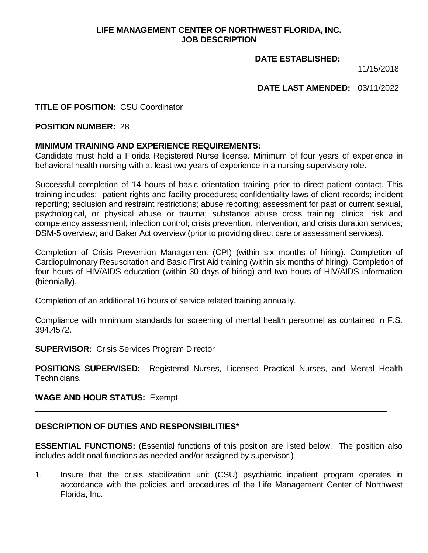# **LIFE MANAGEMENT CENTER OF NORTHWEST FLORIDA, INC. JOB DESCRIPTION**

# **DATE ESTABLISHED:**

11/15/2018

# **DATE LAST AMENDED:** 03/11/2022

# **TITLE OF POSITION:** CSU Coordinator

#### **POSITION NUMBER:** 28

## **MINIMUM TRAINING AND EXPERIENCE REQUIREMENTS:**

Candidate must hold a Florida Registered Nurse license. Minimum of four years of experience in behavioral health nursing with at least two years of experience in a nursing supervisory role.

Successful completion of 14 hours of basic orientation training prior to direct patient contact. This training includes: patient rights and facility procedures; confidentiality laws of client records; incident reporting; seclusion and restraint restrictions; abuse reporting; assessment for past or current sexual, psychological, or physical abuse or trauma; substance abuse cross training; clinical risk and competency assessment; infection control; crisis prevention, intervention, and crisis duration services; DSM-5 overview; and Baker Act overview (prior to providing direct care or assessment services).

Completion of Crisis Prevention Management (CPI) (within six months of hiring). Completion of Cardiopulmonary Resuscitation and Basic First Aid training (within six months of hiring). Completion of four hours of HIV/AIDS education (within 30 days of hiring) and two hours of HIV/AIDS information (biennially).

Completion of an additional 16 hours of service related training annually.

Compliance with minimum standards for screening of mental health personnel as contained in F.S. 394.4572.

**SUPERVISOR:** Crisis Services Program Director

**POSITIONS SUPERVISED:** Registered Nurses, Licensed Practical Nurses, and Mental Health Technicians.

## **WAGE AND HOUR STATUS:** Exempt

## **DESCRIPTION OF DUTIES AND RESPONSIBILITIES\***

**ESSENTIAL FUNCTIONS:** (Essential functions of this position are listed below. The position also includes additional functions as needed and/or assigned by supervisor.)

1. Insure that the crisis stabilization unit (CSU) psychiatric inpatient program operates in accordance with the policies and procedures of the Life Management Center of Northwest Florida, Inc.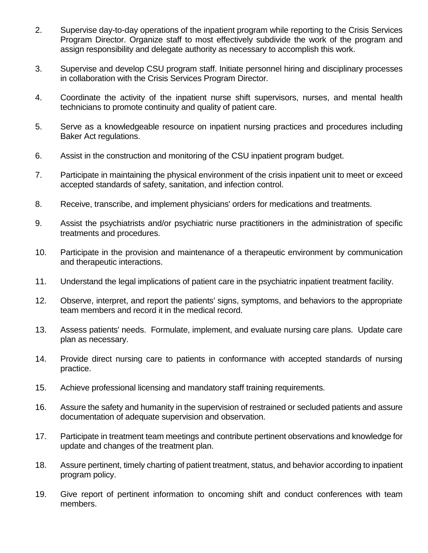- 2. Supervise day-to-day operations of the inpatient program while reporting to the Crisis Services Program Director. Organize staff to most effectively subdivide the work of the program and assign responsibility and delegate authority as necessary to accomplish this work.
- 3. Supervise and develop CSU program staff. Initiate personnel hiring and disciplinary processes in collaboration with the Crisis Services Program Director.
- 4. Coordinate the activity of the inpatient nurse shift supervisors, nurses, and mental health technicians to promote continuity and quality of patient care.
- 5. Serve as a knowledgeable resource on inpatient nursing practices and procedures including Baker Act regulations.
- 6. Assist in the construction and monitoring of the CSU inpatient program budget.
- 7. Participate in maintaining the physical environment of the crisis inpatient unit to meet or exceed accepted standards of safety, sanitation, and infection control.
- 8. Receive, transcribe, and implement physicians' orders for medications and treatments.
- 9. Assist the psychiatrists and/or psychiatric nurse practitioners in the administration of specific treatments and procedures.
- 10. Participate in the provision and maintenance of a therapeutic environment by communication and therapeutic interactions.
- 11. Understand the legal implications of patient care in the psychiatric inpatient treatment facility.
- 12. Observe, interpret, and report the patients' signs, symptoms, and behaviors to the appropriate team members and record it in the medical record.
- 13. Assess patients' needs. Formulate, implement, and evaluate nursing care plans. Update care plan as necessary.
- 14. Provide direct nursing care to patients in conformance with accepted standards of nursing practice.
- 15. Achieve professional licensing and mandatory staff training requirements.
- 16. Assure the safety and humanity in the supervision of restrained or secluded patients and assure documentation of adequate supervision and observation.
- 17. Participate in treatment team meetings and contribute pertinent observations and knowledge for update and changes of the treatment plan.
- 18. Assure pertinent, timely charting of patient treatment, status, and behavior according to inpatient program policy.
- 19. Give report of pertinent information to oncoming shift and conduct conferences with team members.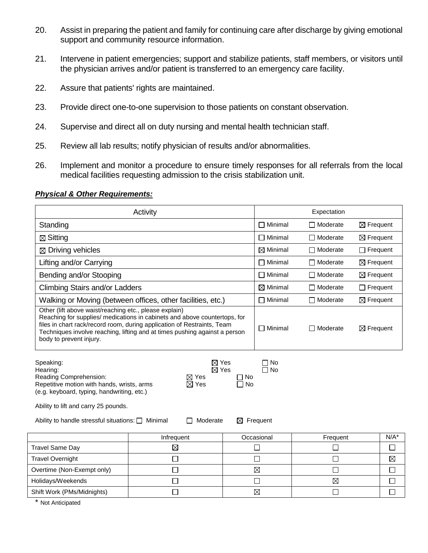- 20. Assist in preparing the patient and family for continuing care after discharge by giving emotional support and community resource information.
- 21. Intervene in patient emergencies; support and stabilize patients, staff members, or visitors until the physician arrives and/or patient is transferred to an emergency care facility.
- 22. Assure that patients' rights are maintained.
- 23. Provide direct one-to-one supervision to those patients on constant observation.
- 24. Supervise and direct all on duty nursing and mental health technician staff.
- 25. Review all lab results; notify physician of results and/or abnormalities.
- 26. Implement and monitor a procedure to ensure timely responses for all referrals from the local medical facilities requesting admission to the crisis stabilization unit.

## *Physical & Other Requirements:*

| Activity                                                                                                                                                                                                                                                                                                                |                     | Expectation     |                      |
|-------------------------------------------------------------------------------------------------------------------------------------------------------------------------------------------------------------------------------------------------------------------------------------------------------------------------|---------------------|-----------------|----------------------|
| Standing                                                                                                                                                                                                                                                                                                                | $\Box$ Minimal      | $\Box$ Moderate | $\boxtimes$ Frequent |
| $\boxtimes$ Sitting                                                                                                                                                                                                                                                                                                     | $\Box$ Minimal      | $\Box$ Moderate | $\boxtimes$ Frequent |
| $\boxtimes$ Driving vehicles                                                                                                                                                                                                                                                                                            | $\boxtimes$ Minimal | $\Box$ Moderate | $\Box$ Frequent      |
| Lifting and/or Carrying                                                                                                                                                                                                                                                                                                 | $\Box$ Minimal      | $\Box$ Moderate | $\boxtimes$ Frequent |
| Bending and/or Stooping                                                                                                                                                                                                                                                                                                 | $\sqcap$ Minimal    | $\Box$ Moderate | $\boxtimes$ Frequent |
| Climbing Stairs and/or Ladders                                                                                                                                                                                                                                                                                          | $\boxtimes$ Minimal | □ Moderate      | $\Box$ Frequent      |
| Walking or Moving (between offices, other facilities, etc.)                                                                                                                                                                                                                                                             | $\sqcap$ Minimal    | □ Moderate      | $\boxtimes$ Frequent |
| Other (lift above waist/reaching etc., please explain)<br>Reaching for supplies/ medications in cabinets and above countertops, for<br>files in chart rack/record room, during application of Restraints, Team<br>Techniques involve reaching, lifting and at times pushing against a person<br>body to prevent injury. | $\Box$ Minimal      | □ Moderate      | $\boxtimes$ Frequent |
| $\nabla$ $V_{\alpha\alpha}$<br>Constitutions                                                                                                                                                                                                                                                                            | $\Box$              |                 |                      |

| Speaking:                                  | $\boxtimes$ Yes |        | No  |
|--------------------------------------------|-----------------|--------|-----|
| Hearing:                                   | $\boxtimes$ Yes |        | No. |
| Reading Comprehension:                     | $\boxtimes$ Yes | ` 1 No |     |
| Repetitive motion with hands, wrists, arms | $\boxtimes$ Yes | l No   |     |
| (e.g. keyboard, typing, handwriting, etc.) |                 |        |     |

Ability to lift and carry 25 pounds.

Ability to handle stressful situations:  $\Box$  Minimal  $\Box$  Moderate  $\Box$  Frequent

|                            | Infrequent | Occasional | Frequent | $N/A^*$     |
|----------------------------|------------|------------|----------|-------------|
| <b>Travel Same Day</b>     | ⊠          |            |          |             |
| <b>Travel Overnight</b>    |            |            |          | $\boxtimes$ |
| Overtime (Non-Exempt only) |            | $\times$   |          |             |
| Holidays/Weekends          |            |            | R        |             |
| Shift Work (PMs/Midnights) |            | $\times$   |          |             |
|                            |            |            |          |             |

\* Not Anticipated